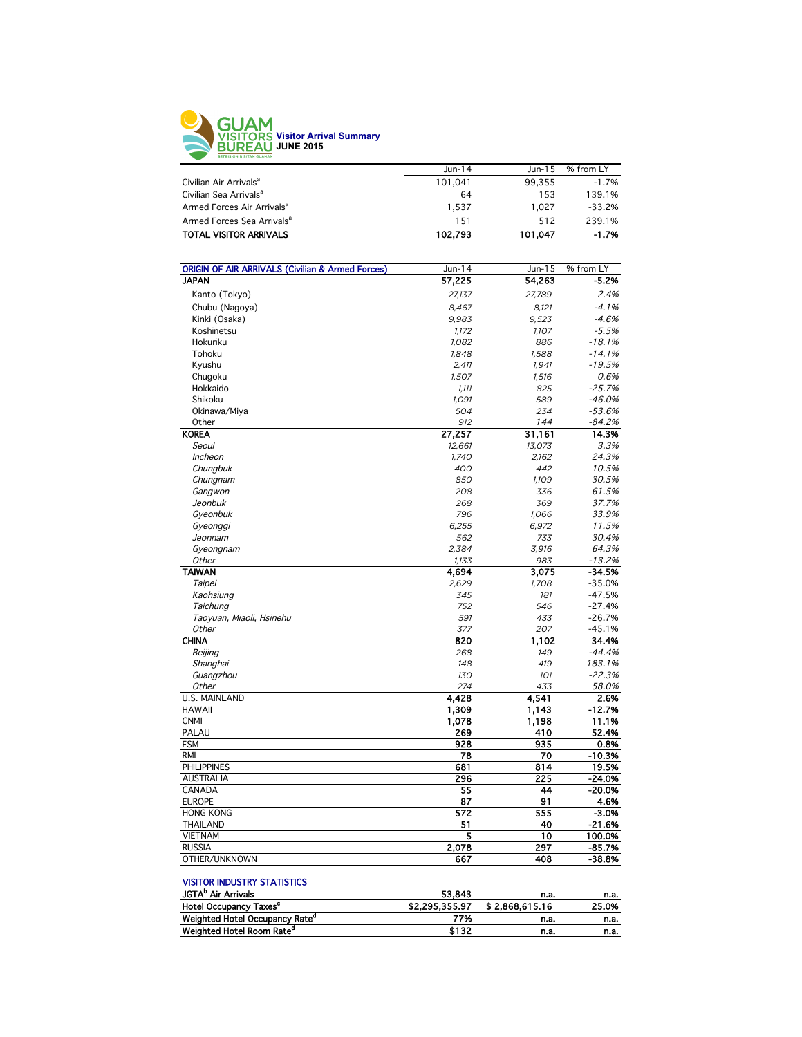

|                                        | $Jun-14$ | Jun-15  | % from LY |
|----------------------------------------|----------|---------|-----------|
| Civilian Air Arrivals <sup>a</sup>     | 101.041  | 99.355  | $-1.7%$   |
| Civilian Sea Arrivals <sup>a</sup>     | 64       | 153     | 139.1%    |
| Armed Forces Air Arrivals <sup>a</sup> | 1.537    | 1.027   | $-33.2%$  |
| Armed Forces Sea Arrivals <sup>a</sup> | 151      | 512     | 239.1%    |
| <b>TOTAL VISITOR ARRIVALS</b>          | 102,793  | 101.047 | $-1.7%$   |
|                                        |          |         |           |

| <b>ORIGIN OF AIR ARRIVALS (Civilian &amp; Armed Forces)</b> | Jun-14 | Jun-15 | % from LY |
|-------------------------------------------------------------|--------|--------|-----------|
| <b>JAPAN</b>                                                | 57,225 | 54,263 | $-5.2%$   |
| Kanto (Tokyo)                                               | 27,137 | 27,789 | 2.4%      |
| Chubu (Nagoya)                                              | 8,467  | 8,121  | $-4.1%$   |
| Kinki (Osaka)                                               | 9,983  | 9,523  | $-4.6%$   |
| Koshinetsu                                                  | 1,172  | 1,107  | $-5.5%$   |
| Hokuriku                                                    | 1,082  | 886    | $-18.1%$  |
| Tohoku                                                      | 1,848  | 1,588  | $-14.1%$  |
| Kyushu                                                      | 2,411  | 1,941  | $-19.5%$  |
| Chugoku                                                     | 1,507  | 1,516  | 0.6%      |
| Hokkaido                                                    | 1,111  | 825    | $-25.7%$  |
| Shikoku                                                     | 1,091  | 589    | $-46.0%$  |
| Okinawa/Miya                                                | 504    | 234    | $-53.6%$  |
| Other                                                       | 912    | 144    | $-84.2%$  |
| <b>KOREA</b>                                                | 27,257 | 31,161 | 14.3%     |
| Seoul                                                       | 12,661 | 13,073 | 3.3%      |
| Incheon                                                     | 1,740  | 2,162  | 24.3%     |
| Chungbuk                                                    | 400    | 442    | 10.5%     |
| Chungnam                                                    | 850    | 1.109  | 30.5%     |
| Gangwon                                                     | 208    | 336    | 61.5%     |
| Jeonbuk                                                     | 268    | 369    | 37.7%     |
| Gyeonbuk                                                    | 796    | 1,066  | 33.9%     |
| Gyeonggi                                                    | 6.255  | 6,972  | 11.5%     |
| Jeonnam                                                     | 562    | 733    | 30.4%     |
| Gyeongnam                                                   | 2,384  | 3,916  | 64.3%     |
| Other                                                       | 1,133  | 983    | $-13.2%$  |
| <b>TAIWAN</b>                                               | 4,694  | 3,075  | $-34.5%$  |
| Taipei                                                      | 2,629  | 1,708  | $-35.0%$  |
| Kaohsiung                                                   | 345    | 181    | $-47.5%$  |
| Taichung                                                    | 752    | 546    | $-27.4%$  |
| Taoyuan, Miaoli, Hsinehu                                    | 591    | 433    | $-26.7%$  |
| Other                                                       | 377    | 207    | $-45.1%$  |
| <b>CHINA</b>                                                | 820    | 1,102  | 34.4%     |
| Beijing                                                     | 268    | 149    | $-44.4%$  |
| Shanghai                                                    | 148    | 419    | 183.1%    |
| Guangzhou                                                   | 130    | 101    | $-22.3%$  |
| Other                                                       | 274    | 433    | 58.0%     |
| U.S. MAINLAND                                               | 4,428  | 4,541  | 2.6%      |
| <b>HAWAII</b>                                               | 1,309  | 1,143  | $-12.7%$  |
| <b>CNMI</b>                                                 | 1,078  | 1,198  | 11.1%     |
| PALAU                                                       | 269    | 410    | 52.4%     |
| <b>FSM</b>                                                  | 928    | 935    | 0.8%      |
| <b>RMI</b>                                                  | 78     | 70     | $-10.3%$  |
| <b>PHILIPPINES</b>                                          | 681    | 814    | 19.5%     |
| <b>AUSTRALIA</b>                                            | 296    | 225    | $-24.0%$  |
| CANADA                                                      | 55     | 44     | $-20.0%$  |
| <b>EUROPE</b>                                               | 87     | 91     | 4.6%      |
| <b>HONG KONG</b>                                            | 572    | 555    | $-3.0%$   |
| <b>THAILAND</b>                                             | 51     | 40     | $-21.6%$  |
| <b>VIETNAM</b>                                              | 5      | 10     | 100.0%    |
| <b>RUSSIA</b>                                               | 2,078  | 297    | $-85.7%$  |
| OTHER/UNKNOWN                                               | 667    | 408    | -38.8%    |
|                                                             |        |        |           |

## VISITOR INDUSTRY STATISTICS

| 53.843         | n.a.           | n.a.  |
|----------------|----------------|-------|
| \$2,295,355,97 | \$2,868,615,16 | 25.0% |
| 77%            | n.a.           | n.a.  |
| \$132          | n.a.           | n.a.  |
|                |                |       |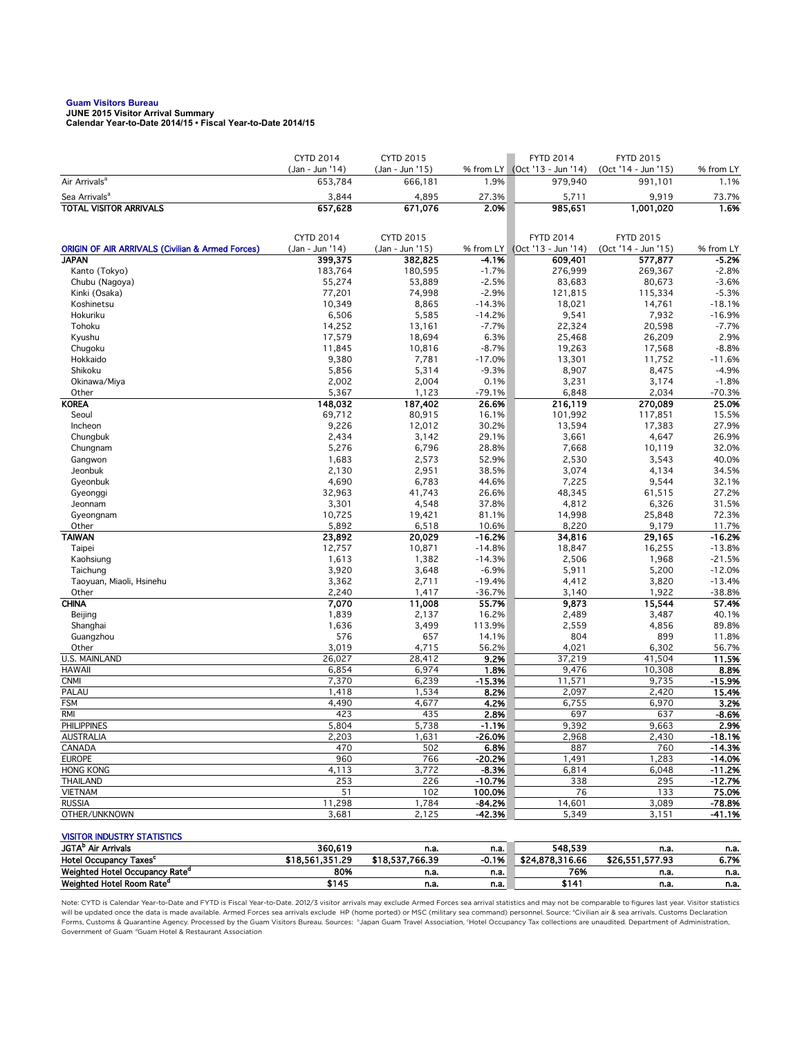## **Guam Visitors Bureau JUNE 2015 Visitor Arrival Summary**

**Calendar Year-to-Date 2014/15 • Fiscal Year-to-Date 2014/15** 

|                                                                      | <b>CYTD 2014</b>           | <b>CYTD 2015</b>        |                    | <b>FYTD 2014</b>              | <b>FYTD 2015</b>        |                    |
|----------------------------------------------------------------------|----------------------------|-------------------------|--------------------|-------------------------------|-------------------------|--------------------|
|                                                                      | (Jan - Jun '14)            | (Jan - Jun '15)         |                    | % from LY (Oct '13 - Jun '14) | (Oct '14 - Jun '15)     | % from LY          |
| Air Arrivals <sup>a</sup>                                            | 653,784                    | 666,181                 | 1.9%               | 979,940                       | 991,101                 | 1.1%               |
| Sea Arrivals <sup>a</sup>                                            | 3,844                      | 4,895                   | 27.3%              | 5,711                         | 9,919                   | 73.7%              |
| <b>TOTAL VISITOR ARRIVALS</b>                                        | 657,628                    | 671,076                 | 2.0%               | 985,651                       | 1,001,020               | 1.6%               |
|                                                                      |                            |                         |                    |                               |                         |                    |
|                                                                      | <b>CYTD 2014</b>           | <b>CYTD 2015</b>        |                    | <b>FYTD 2014</b>              | <b>FYTD 2015</b>        |                    |
| <b>ORIGIN OF AIR ARRIVALS (Civilian &amp; Armed Forces)</b>          | (Jan - Jun '14)            | (Jan - Jun '15)         | % from LY          | (Oct '13 - Jun '14)           | (Oct '14 - Jun '15)     | % from LY          |
| <b>JAPAN</b>                                                         | 399,375                    | 382,825                 | $-4.1%$            | 609,401                       | 577,877                 | $-5.2%$            |
| Kanto (Tokyo)                                                        | 183,764                    | 180,595                 | $-1.7%$<br>$-2.5%$ | 276,999<br>83.683             | 269,367<br>80,673       | $-2.8%$<br>$-3.6%$ |
| Chubu (Nagoya)<br>Kinki (Osaka)                                      | 55,274<br>77,201           | 53,889<br>74,998        | $-2.9%$            | 121,815                       | 115,334                 | $-5.3%$            |
| Koshinetsu                                                           | 10,349                     | 8,865                   | $-14.3%$           | 18,021                        | 14,761                  | $-18.1%$           |
| Hokuriku                                                             | 6,506                      | 5,585                   | $-14.2%$           | 9,541                         | 7,932                   | $-16.9%$           |
| Tohoku                                                               | 14,252                     | 13,161                  | $-7.7%$            | 22,324                        | 20,598                  | $-7.7%$            |
| Kyushu                                                               | 17,579                     | 18,694                  | 6.3%               | 25,468                        | 26,209                  | 2.9%               |
| Chugoku                                                              | 11,845                     | 10,816                  | $-8.7%$            | 19,263                        | 17,568                  | $-8.8%$            |
| Hokkaido                                                             | 9,380                      | 7,781                   | $-17.0%$           | 13,301                        | 11,752                  | $-11.6%$           |
| Shikoku                                                              | 5,856                      | 5,314                   | $-9.3%$            | 8,907                         | 8,475                   | $-4.9%$            |
| Okinawa/Miya                                                         | 2,002                      | 2,004                   | 0.1%               | 3,231                         | 3,174                   | $-1.8%$            |
| Other                                                                | 5,367                      | 1,123                   | $-79.1%$           | 6,848                         | 2,034                   | $-70.3%$           |
| <b>KOREA</b>                                                         | 148,032                    | 187,402                 | 26.6%              | 216,119                       | 270,089                 | 25.0%              |
| Seoul                                                                | 69,712                     | 80,915                  | 16.1%              | 101,992                       | 117,851                 | 15.5%              |
| Incheon                                                              | 9,226                      | 12,012                  | 30.2%              | 13,594                        | 17,383                  | 27.9%              |
| Chungbuk                                                             | 2,434                      | 3,142                   | 29.1%              | 3,661                         | 4,647                   | 26.9%              |
| Chungnam                                                             | 5,276                      | 6,796                   | 28.8%              | 7,668                         | 10,119                  | 32.0%              |
| Gangwon                                                              | 1,683                      | 2,573                   | 52.9%              | 2,530                         | 3,543                   | 40.0%              |
| Jeonbuk                                                              | 2,130                      | 2,951                   | 38.5%              | 3,074                         | 4,134                   | 34.5%              |
| Gyeonbuk                                                             | 4,690                      | 6,783                   | 44.6%              | 7,225                         | 9,544                   | 32.1%              |
| Gyeonggi                                                             | 32,963                     | 41,743                  | 26.6%<br>37.8%     | 48,345                        | 61,515                  | 27.2%              |
| Jeonnam<br>Gyeongnam                                                 | 3,301<br>10,725            | 4,548<br>19,421         | 81.1%              | 4,812<br>14,998               | 6,326<br>25,848         | 31.5%<br>72.3%     |
| Other                                                                | 5,892                      | 6,518                   | 10.6%              | 8,220                         | 9,179                   | 11.7%              |
| <b>TAIWAN</b>                                                        | 23,892                     | 20,029                  | $-16.2%$           | 34,816                        | 29,165                  | $-16.2%$           |
| Taipei                                                               | 12,757                     | 10,871                  | $-14.8%$           | 18,847                        | 16,255                  | $-13.8%$           |
| Kaohsiung                                                            | 1,613                      | 1,382                   | $-14.3%$           | 2,506                         | 1,968                   | $-21.5%$           |
| Taichung                                                             | 3,920                      | 3,648                   | $-6.9%$            | 5,911                         | 5,200                   | $-12.0%$           |
| Taoyuan, Miaoli, Hsinehu                                             | 3,362                      | 2,711                   | $-19.4%$           | 4,412                         | 3,820                   | $-13.4%$           |
| Other                                                                | 2,240                      | 1,417                   | $-36.7%$           | 3,140                         | 1,922                   | $-38.8%$           |
| <b>CHINA</b>                                                         | 7,070                      | 11,008                  | 55.7%              | 9,873                         | 15,544                  | 57.4%              |
| Beijing                                                              | 1,839                      | 2,137                   | 16.2%              | 2,489                         | 3,487                   | 40.1%              |
| Shanghai                                                             | 1,636                      | 3,499                   | 113.9%             | 2,559                         | 4,856                   | 89.8%              |
| Guangzhou                                                            | 576                        | 657                     | 14.1%              | 804                           | 899                     | 11.8%              |
| Other                                                                | 3,019                      | 4,715                   | 56.2%              | 4,021                         | 6,302                   | 56.7%              |
| <b>U.S. MAINLAND</b>                                                 | 26,027                     | 28,412                  | 9.2%               | 37,219                        | 41,504                  | 11.5%              |
| <b>HAWAII</b>                                                        | 6,854                      | 6,974                   | 1.8%               | 9,476                         | 10,308                  | 8.8%<br>$-15.9%$   |
| <b>CNMI</b><br>PALAU                                                 | 7,370                      | 6,239<br>1,534          | $-15.3%$<br>8.2%   | 11,571<br>2,097               | 9,735                   | 15.4%              |
| <b>FSM</b>                                                           | 1,418<br>4,490             | 4,677                   | 4.2%               | 6,755                         | 2,420<br>6,970          | 3.2%               |
| <b>RMI</b>                                                           | 423                        | 435                     | 2.8%               | 697                           | 637                     | -8.6%              |
| <b>PHILIPPINES</b>                                                   | 5,804                      | 5,738                   | $-1.1%$            | 9,392                         | 9,663                   | 2.9%               |
| AUSTRALIA                                                            | 2,203                      | 1,631                   | $-26.0%$           | 2,968                         | 2,430                   | -18.1%             |
| CANADA                                                               | 470                        | 502                     | 6.8%               | 887                           | 760                     | -14.3%             |
| <b>EUROPE</b>                                                        | 960                        | 766                     | $-20.2%$           | 1,491                         | 1,283                   | -14.0%             |
| <b>HONG KONG</b>                                                     | 4,113                      | 3,772                   | $-8.3%$            | 6,814                         | 6,048                   | $-11.2%$           |
| <b>THAILAND</b>                                                      | 253                        | 226                     | $-10.7%$           | 338                           | 295                     | -12.7%             |
| <b>VIETNAM</b>                                                       | 51                         | 102                     | 100.0%             | 76                            | 133                     | 75.0%              |
| <b>RUSSIA</b>                                                        | 11,298                     | 1,784                   | $-84.2%$           | 14,601                        | 3,089                   | $-78.8%$           |
| OTHER/UNKNOWN                                                        | 3,681                      | 2,125                   | $-42.3%$           | 5,349                         | 3,151                   | -41.1%             |
|                                                                      |                            |                         |                    |                               |                         |                    |
| <b>VISITOR INDUSTRY STATISTICS</b>                                   |                            |                         |                    |                               |                         |                    |
| JGTA <sup>b</sup> Air Arrivals<br>Hotel Occupancy Taxes <sup>c</sup> | 360,619<br>\$18,561,351.29 | n.a.<br>\$18,537,766.39 | n.a.<br>$-0.1%$    | 548,539<br>\$24,878,316.66    | n.a.<br>\$26,551,577.93 | n.a.<br>6.7%       |
|                                                                      |                            |                         |                    |                               |                         |                    |

Note: CYTD is Calendar Year-to-Date and FYTD is Fiscal Year-to-Date. 2012/3 visitor arrivals may exclude Armed Forces sea arrival statistics and may not be comparable to figures last year. Visitor statistics will be updated once the data is made available. Armed Forces sea arrivals exclude HP (home ported) or MSC (military sea command) personnel. Source: °Civilian air & sea arrivals. Customs Declaration<br>Forms, Customs & Quaran

Weighted Hotel Occupancy Rate<sup>d</sup> 80% n.a. n.a. 76% n.a. n.a. Weighted Hotel Room Rate<sup>d</sup> \$145 n.a. n.a. \$141 n.a. n.a.

Government of Guam dGuam Hotel & Restaurant Association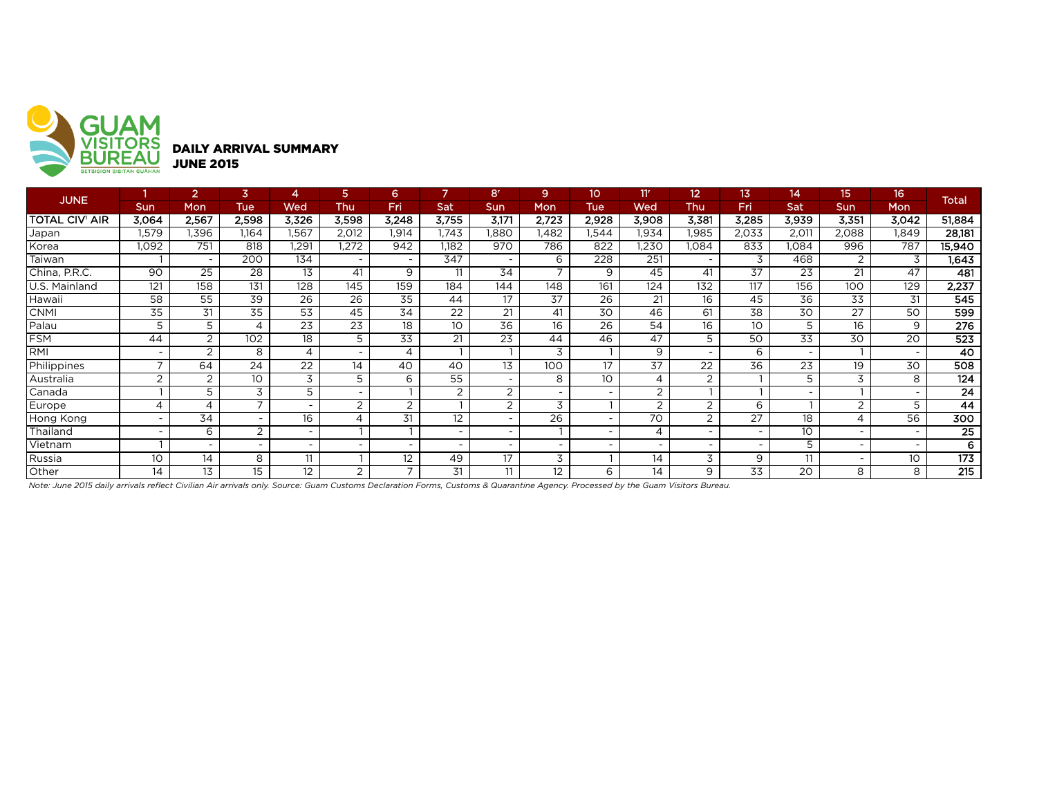

| <b>JUNE</b>           |                          | 2                        | 3                        |                          | 5.                       | 6                        |                          | 8 <sup>r</sup>           | 9     | 10              | 11'                      | 12                       | 13                       | 14.                      | 15             | 16              | <b>Total</b>    |
|-----------------------|--------------------------|--------------------------|--------------------------|--------------------------|--------------------------|--------------------------|--------------------------|--------------------------|-------|-----------------|--------------------------|--------------------------|--------------------------|--------------------------|----------------|-----------------|-----------------|
|                       | Sun                      | <b>Mon</b>               | <b>Tue</b>               | Wed                      | Thu                      | Fri                      | Sat                      | Sun                      | Mon   | <b>Tue</b>      | Wed                      | Thu                      | <b>Fri</b>               | Sat                      | <b>Sun</b>     | <b>Mon</b>      |                 |
| <b>TOTAL CIV' AIR</b> | 3,064                    | 2,567                    | 2,598                    | 3,326                    | 3,598                    | 3,248                    | 3,755                    | 3,171                    | 2,723 | 2,928           | 3,908                    | 3,381                    | 3,285                    | 3,939                    | 3,351          | 3,042           | 51,884          |
| Japan                 | 1,579                    | 1,396                    | 1.164                    | .567                     | 2,012                    | .914                     | .743                     | .880                     | .482  | 1,544           | 1,934                    | I,985                    | 2,033                    | 2,011                    | 2,088          | 1,849           | 28,181          |
| Korea                 | 1,092                    | 751                      | 818                      | .291                     | ,272                     | 942                      | .182                     | 970                      | 786   | 822             | .230                     | I.084                    | 833                      | .084                     | 996            | 787             | 15,940          |
| Taiwan                |                          | $\overline{\phantom{a}}$ | 200                      | 134                      | $\overline{\phantom{0}}$ |                          | 347                      | $\overline{\phantom{0}}$ | 6     | 228             | 251                      | $\overline{\phantom{0}}$ | 3                        | 468                      | 2              | 3               | 1,643           |
| China, P.R.C.         | 90                       | 25                       | 28                       | 13                       | 41                       | 9                        | 11                       | 34                       | -     | 9               | 45                       | 41                       | 37                       | 23                       | 21             | 47              | 481             |
| U.S. Mainland         | 121                      | 158                      | 131                      | 128                      | 145                      | 159                      | 184                      | 144                      | 148   | 161             | 124                      | 132                      | 117                      | 156                      | 100            | 129             | 2,237           |
| Hawaii                | 58                       | 55                       | 39                       | 26                       | 26                       | 35                       | 44                       | 17                       | 37    | 26              | 21                       | 16                       | 45                       | 36                       | 33             | 31              | 545             |
| <b>CNMI</b>           | 35                       | 31                       | 35                       | 53                       | 45                       | $3\overline{4}$          | $2\overline{2}$          | 21                       | 41    | 30              | 46                       | 61                       | 38                       | 30                       | 27             | 50              | 599             |
| Palau                 | 5                        | 5                        | Δ                        | 23                       | 23                       | 18                       | 10                       | 36                       | 16    | 26              | 54                       | 16                       | 10 <sup>°</sup>          | 5                        | 16             | 9               | 276             |
| <b>FSM</b>            | 44                       | $\overline{2}$           | 102                      | 18                       | 5                        | $\overline{33}$          | 21                       | $\overline{23}$          | 44    | 46              | 47                       | 5                        | 50                       | $\overline{33}$          | 30             | 20              | 523             |
| RMI                   | $\overline{\phantom{a}}$ | 2                        | 8                        | 4                        | $\overline{\phantom{0}}$ | 4                        |                          |                          | 3     |                 | 9                        | $\overline{\phantom{0}}$ | 6                        | $\overline{\phantom{0}}$ |                |                 | 40              |
| Philippines           | $\overline{ }$           | 64                       | $2\overline{4}$          | $\overline{22}$          | 14                       | 40                       | 40                       | 13                       | 100   | 17              | 37                       | 22                       | 36                       | 23                       | 19             | 30              | 508             |
| Australia             | 2                        | 2                        | 10                       | 3                        | 5                        | 6                        | 55                       | $\overline{\phantom{0}}$ | 8     | 10 <sup>°</sup> | $\overline{4}$           | 2                        |                          | 5                        | 3              | 8               | 124             |
| Canada                |                          | 5                        | 3                        | 5                        |                          |                          | $\overline{2}$           | 2                        |       |                 | 2                        |                          |                          |                          |                |                 | 24              |
| Europe                | $\overline{4}$           | 4                        | $\overline{ }$           | $\overline{\phantom{0}}$ | 2                        | $\overline{2}$           |                          | 2                        | 3     |                 | $\overline{2}$           | $\overline{2}$           | 6                        |                          | $\overline{2}$ | 5               | 44              |
| Hong Kong             | $\overline{\phantom{a}}$ | 34                       | $\overline{\phantom{0}}$ | 16                       | 4                        | 31                       | 12                       | $\sim$                   | 26    |                 | 70                       | 2                        | 27                       | 18                       |                | 56              | 300             |
| Thailand              | $\overline{\phantom{a}}$ | 6                        | 2                        | $\overline{\phantom{0}}$ |                          |                          | -                        | $\overline{\phantom{0}}$ |       |                 | $\overline{4}$           | $\overline{\phantom{0}}$ | $\overline{\phantom{0}}$ | 10                       |                |                 | $\overline{25}$ |
| Vietnam               |                          | $\sim$                   | $\overline{\phantom{0}}$ | $\overline{\phantom{0}}$ |                          | $\overline{\phantom{0}}$ | $\overline{\phantom{0}}$ |                          |       |                 | $\overline{\phantom{0}}$ | $\overline{\phantom{0}}$ | $\overline{\phantom{a}}$ | 5                        |                |                 | 6               |
| Russia                | 10                       | 14                       | 8                        | 11                       |                          | 12                       | 49                       | 17                       | 3     |                 | 14                       | 3                        | 9                        | 11                       |                | 10 <sup>°</sup> | 173             |
| Other                 | 14                       | 13                       | 15                       | 12                       | 2                        |                          | 31                       | 11                       | 12    | 6               | 14                       | 9                        | 33                       | 20                       | 8              | 8               | 215             |

*Note: June 2015 daily arrivals reflect Civilian Air arrivals only. Source: Guam Customs Declaration Forms, Customs & Quarantine Agency. Processed by the Guam Visitors Bureau.*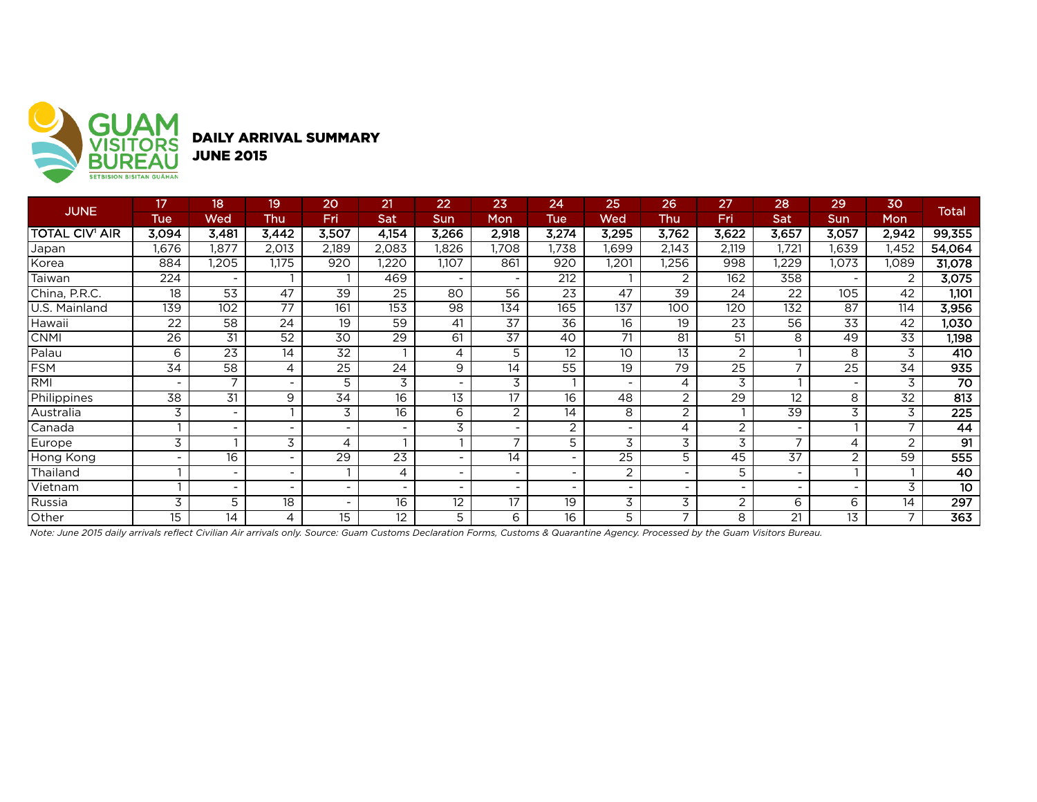

DAILY ARRIVAL SUMMARY

|                                  | 17              | 18                       | 19                       | 20                       | 21                       | 22                       | 23                       | 24              | 25                       | 26                       | 27              | 28                       | 29              | 30                       |                  |
|----------------------------------|-----------------|--------------------------|--------------------------|--------------------------|--------------------------|--------------------------|--------------------------|-----------------|--------------------------|--------------------------|-----------------|--------------------------|-----------------|--------------------------|------------------|
| <b>JUNE</b>                      | Tue             | Wed                      | Thu                      | Fri                      | Sat                      | Sun                      | Mon                      | <b>Tue</b>      | Wed                      | <b>Thu</b>               | Fri             | <b>Sat</b>               | <b>Sun</b>      | Mon                      | <b>Total</b>     |
| <b>TOTAL CIV<sup>1</sup> AIR</b> | 3,094           | 3,481                    | 3,442                    | 3,507                    | 4,154                    | 3,266                    | 2,918                    | 3,274           | 3,295                    | 3,762                    | 3,622           | 3,657                    | 3,057           | 2,942                    | 99,355           |
| Japan                            | ,676            | 1,877                    | 2,013                    | 2,189                    | 2,083                    | .826                     | ,708                     | 1,738           | l.699                    | 2,143                    | 2,119           | 1,721                    | 1,639           | 1,452                    | 54,064           |
| Korea                            | 884             | 1,205                    | 1,175                    | 920                      | ,220                     | 1.107                    | 861                      | 920             | ,201                     | ,256                     | 998             | 1,229                    | 1,073           | 1,089                    | 31,078           |
| Taiwan                           | 224             | $\overline{\phantom{a}}$ |                          |                          | 469                      | $\overline{\phantom{a}}$ | $\overline{\phantom{a}}$ | 212             |                          | 2                        | 162             | 358                      |                 | 2                        | 3,075            |
| China, P.R.C.                    | 18              | 53                       | 47                       | 39                       | 25                       | 80                       | 56                       | 23              | 47                       | 39                       | 24              | 22                       | 105             | 42                       | 1,101            |
| U.S. Mainland                    | 139             | 102                      | 77                       | 161                      | 153                      | 98                       | 134                      | 165             | 137                      | 100                      | 120             | 132                      | 87              | 114                      | 3,956            |
| Hawaii                           | $\overline{22}$ | 58                       | 24                       | 19                       | 59                       | 41                       | 37                       | 36              | 16                       | 19                       | $\overline{23}$ | 56                       | $\overline{33}$ | 42                       | 1,030            |
| <b>CNMI</b>                      | 26              | 31                       | 52                       | 30                       | 29                       | 61                       | 37                       | 40              | 71                       | 81                       | 51              | 8                        | 49              | 33                       | 1,198            |
| Palau                            | 6               | 23                       | 14                       | 32                       |                          | 4                        | 5                        | 12              | 10 <sup>°</sup>          | 13                       | 2               |                          | 8               | 3                        | 410              |
| <b>FSM</b>                       | 34              | 58                       | 4                        | 25                       | 24                       | 9                        | 14                       | $\overline{55}$ | 19                       | 79                       | $\overline{25}$ | 7                        | $\overline{25}$ | 34                       | 935              |
| RMI                              |                 | 7                        | $\blacksquare$           | 5                        | 3                        | $\overline{\phantom{0}}$ | 3                        |                 | $\blacksquare$           | 4                        | 3               |                          |                 | 3                        | 70               |
| Philippines                      | $\overline{38}$ | 31                       | 9                        | 34                       | $\overline{16}$          | 13                       | $\overline{17}$          | 16              | 48                       | 2                        | $\overline{29}$ | $\overline{12}$          | 8               | 32                       | 813              |
| Australia                        | 3               | $\blacksquare$           |                          | 3                        | 16                       | 6                        | $\overline{2}$           | 14              | 8                        | $\overline{2}$           |                 | 39                       | 3               | 3                        | $\overline{225}$ |
| Canada                           |                 | $\overline{\phantom{a}}$ |                          | $\overline{\phantom{0}}$ | $\overline{\phantom{0}}$ | 3                        | $\overline{\phantom{a}}$ | 2               | -                        | 4                        | 2               | $\sim$                   |                 | $\overline{\phantom{1}}$ | 44               |
| Europe                           | 3               |                          | 3                        | 4                        |                          |                          | 7                        | 5               | 3                        | 3                        | 3               | 7                        | 4               | 2                        | $\overline{91}$  |
| Hong Kong                        |                 | 16                       | $\overline{\phantom{a}}$ | 29                       | 23                       | $\overline{\phantom{0}}$ | 14                       |                 | 25                       | 5                        | 45              | 37                       | 2               | 59                       | 555              |
| Thailand                         |                 | $\overline{\phantom{a}}$ | $\sim$                   |                          | 4                        | $\overline{\phantom{0}}$ | $\sim$                   |                 | 2                        | $\overline{\phantom{0}}$ | 5               | $\sim$                   |                 |                          | 40               |
| Vietnam                          |                 | $\overline{\phantom{a}}$ |                          |                          |                          |                          | $\overline{\phantom{0}}$ |                 | $\overline{\phantom{0}}$ |                          |                 | $\overline{\phantom{a}}$ |                 | 3                        | $\overline{10}$  |
| Russia                           | 3               | 5                        | 18                       | $\overline{\phantom{0}}$ | 16                       | 12                       | 17                       | 19              | 3                        | 3                        | 2               | 6                        | 6               | 14                       | 297              |
| Other                            | 15              | 14                       | 4                        | 15                       | 12                       | 5                        | 6                        | 16              | 5                        | $\overline{ }$           | 8               | 21                       | 13              |                          | 363              |

*Note: June 2015 daily arrivals reflect Civilian Air arrivals only. Source: Guam Customs Declaration Forms, Customs & Quarantine Agency. Processed by the Guam Visitors Bureau.*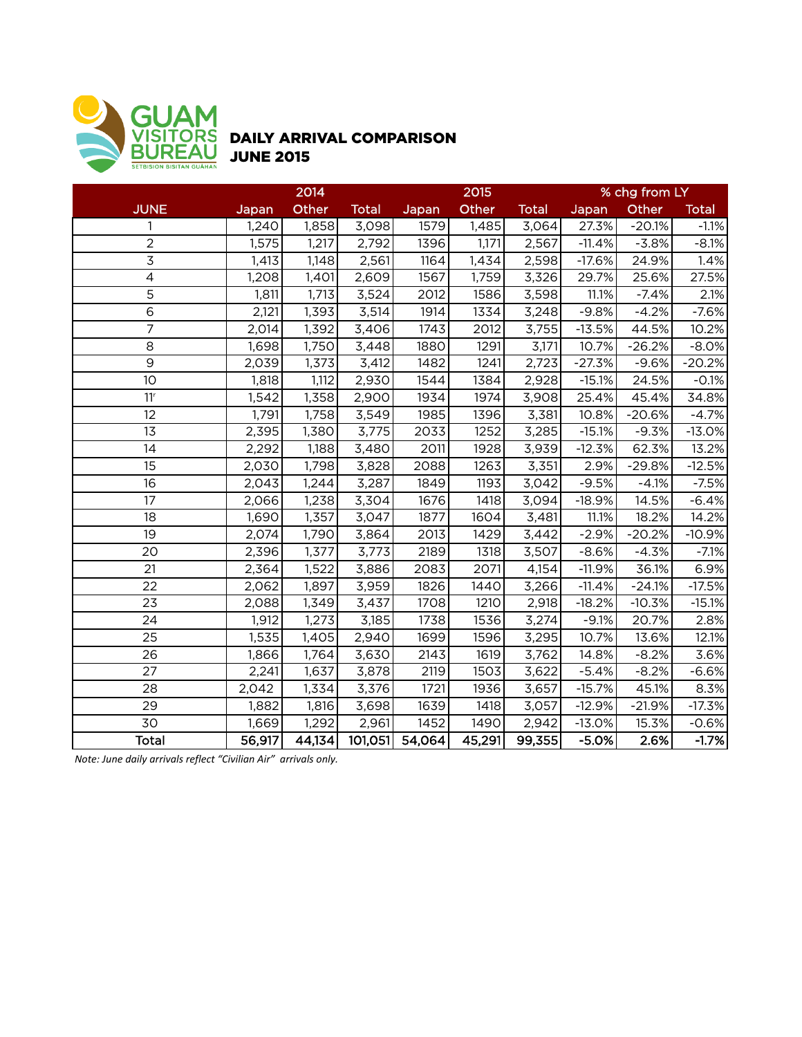

## DAILY ARRIVAL COMPARISON JUNE 2015

|                 | 2014   |        |              |        | 2015   |              | % chg from LY |          |              |  |
|-----------------|--------|--------|--------------|--------|--------|--------------|---------------|----------|--------------|--|
| <b>JUNE</b>     | Japan  | Other  | <b>Total</b> | Japan  | Other  | <b>Total</b> | Japan         | Other    | <b>Total</b> |  |
| 1               | 1,240  | 1,858  | 3,098        | 1579   | 1,485  | 3,064        | 27.3%         | $-20.1%$ | $-1.1%$      |  |
| $\overline{2}$  | 1,575  | 1,217  | 2,792        | 1396   | 1,171  | 2,567        | $-11.4%$      | $-3.8%$  | $-8.1%$      |  |
| $\overline{3}$  | 1,413  | 1,148  | 2,561        | 1164   | 1,434  | 2,598        | $-17.6%$      | 24.9%    | 1.4%         |  |
| $\overline{4}$  | 1,208  | 1,401  | 2,609        | 1567   | 1,759  | 3,326        | 29.7%         | 25.6%    | 27.5%        |  |
| $\overline{5}$  | 1,811  | 1,713  | 3,524        | 2012   | 1586   | 3,598        | 11.1%         | $-7.4%$  | 2.1%         |  |
| 6               | 2,121  | 1,393  | 3,514        | 1914   | 1334   | 3,248        | $-9.8%$       | $-4.2%$  | $-7.6%$      |  |
| $\overline{7}$  | 2,014  | 1,392  | 3,406        | 1743   | 2012   | 3,755        | $-13.5%$      | 44.5%    | 10.2%        |  |
| 8               | 1,698  | 1,750  | 3,448        | 1880   | 1291   | 3,171        | 10.7%         | $-26.2%$ | $-8.0%$      |  |
| 9               | 2,039  | 1,373  | 3,412        | 1482   | 1241   | 2,723        | $-27.3%$      | $-9.6%$  | $-20.2%$     |  |
| $\overline{10}$ | 1,818  | 1,112  | 2,930        | 1544   | 1384   | 2,928        | $-15.1%$      | 24.5%    | $-0.1%$      |  |
| 11 <sup>r</sup> | 1,542  | 1,358  | 2,900        | 1934   | 1974   | 3,908        | 25.4%         | 45.4%    | 34.8%        |  |
| 12              | 1,791  | 1,758  | 3,549        | 1985   | 1396   | 3,381        | 10.8%         | $-20.6%$ | $-4.7%$      |  |
| 13              | 2,395  | 1,380  | 3,775        | 2033   | 1252   | 3,285        | $-15.1%$      | $-9.3%$  | $-13.0%$     |  |
| $\overline{14}$ | 2,292  | 1,188  | 3,480        | 2011   | 1928   | 3,939        | $-12.3%$      | 62.3%    | 13.2%        |  |
| 15              | 2,030  | 1,798  | 3,828        | 2088   | 1263   | 3,351        | 2.9%          | $-29.8%$ | $-12.5%$     |  |
| 16              | 2,043  | 1,244  | 3,287        | 1849   | 1193   | 3,042        | $-9.5%$       | $-4.1%$  | $-7.5%$      |  |
| 17              | 2,066  | 1,238  | 3,304        | 1676   | 1418   | 3,094        | $-18.9%$      | 14.5%    | $-6.4%$      |  |
| 18              | 1,690  | 1,357  | 3,047        | 1877   | 1604   | 3,481        | 11.1%         | 18.2%    | 14.2%        |  |
| 19              | 2,074  | 1,790  | 3,864        | 2013   | 1429   | 3,442        | $-2.9%$       | $-20.2%$ | $-10.9%$     |  |
| 20              | 2,396  | 1,377  | 3,773        | 2189   | 1318   | 3,507        | $-8.6%$       | $-4.3%$  | $-7.1%$      |  |
| 21              | 2,364  | 1,522  | 3,886        | 2083   | 2071   | 4,154        | $-11.9%$      | 36.1%    | 6.9%         |  |
| 22              | 2,062  | 1,897  | 3,959        | 1826   | 1440   | 3,266        | $-11.4%$      | $-24.1%$ | $-17.5%$     |  |
| 23              | 2,088  | 1,349  | 3,437        | 1708   | 1210   | 2,918        | $-18.2%$      | $-10.3%$ | $-15.1%$     |  |
| 24              | 1,912  | 1,273  | 3,185        | 1738   | 1536   | 3,274        | $-9.1%$       | 20.7%    | 2.8%         |  |
| $\overline{25}$ | 1,535  | 1,405  | 2,940        | 1699   | 1596   | 3,295        | 10.7%         | 13.6%    | 12.1%        |  |
| 26              | 1,866  | 1,764  | 3,630        | 2143   | 1619   | 3,762        | 14.8%         | $-8.2%$  | 3.6%         |  |
| 27              | 2,241  | 1,637  | 3,878        | 2119   | 1503   | 3,622        | $-5.4%$       | $-8.2%$  | $-6.6%$      |  |
| 28              | 2,042  | 1,334  | 3,376        | 1721   | 1936   | 3,657        | $-15.7%$      | 45.1%    | 8.3%         |  |
| 29              | 1,882  | 1,816  | 3,698        | 1639   | 1418   | 3,057        | $-12.9%$      | $-21.9%$ | $-17.3%$     |  |
| 30              | 1,669  | 1,292  | 2,961        | 1452   | 1490   | 2,942        | $-13.0%$      | 15.3%    | $-0.6%$      |  |
| <b>Total</b>    | 56,917 | 44,134 | 101,051      | 54,064 | 45,291 | 99,355       | $-5.0%$       | 2.6%     | $-1.7%$      |  |

*Note: June daily arrivals reflect "Civilian Air" arrivals only.*